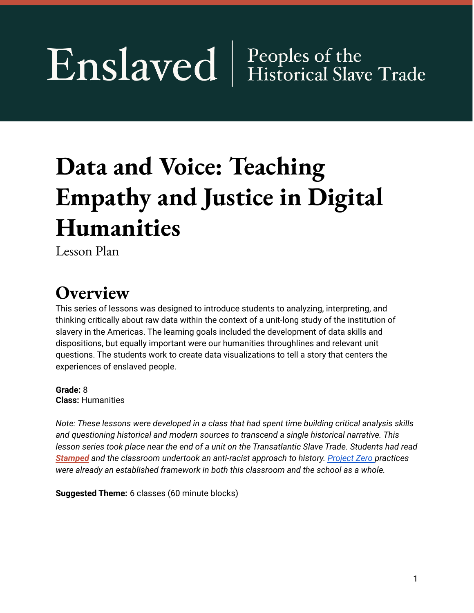# Enslaved | Peoples of the

## **Data and Voice: Teaching Empathy and Justice in Digital Humanities**

Lesson Plan

### **Overview**

This series of lessons was designed to introduce students to analyzing, interpreting, and thinking critically about raw data within the context of a unit-long study of the institution of slavery in the Americas. The learning goals included the development of data skills and dispositions, but equally important were our humanities throughlines and relevant unit questions. The students work to create data visualizations to tell a story that centers the experiences of enslaved people.

**Grade:** 8 **Class:** Humanities

*Note: These lessons were developed in a class that had spent time building critical analysis skills and questioning historical and modern sources to transcend a single historical narrative. This* lesson series took place near the end of a unit on the Transatlantic Slave Trade. Students had read *[Stamped](https://www.npr.org/2020/03/14/814630039/a-history-book-that-isnt-finding-a-way-to-teach-racism-to-a-new-generation) and the classroom undertook an anti-racist approach to history. [Project](http://www.pz.harvard.edu/) Zero practices were already an established framework in both this classroom and the school as a whole.*

**Suggested Theme:** 6 classes (60 minute blocks)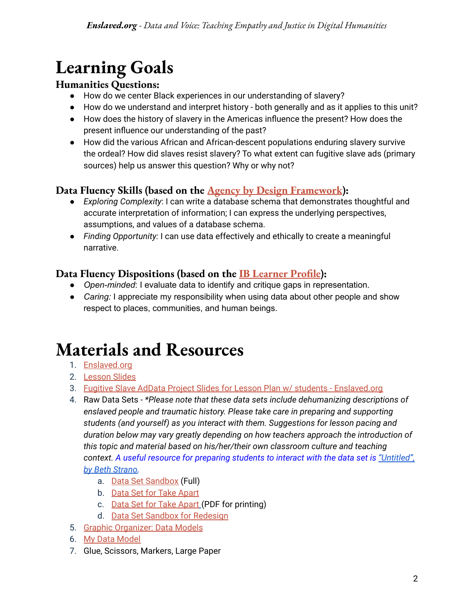### **Learning Goals**

#### **Humanities Questions:**

- How do we center Black experiences in our understanding of slavery?
- How do we understand and interpret history both generally and as it applies to this unit?
- How does the history of slavery in the Americas influence the present? How does the present influence our understanding of the past?
- How did the various African and African-descent populations enduring slavery survive the ordeal? How did slaves resist slavery? To what extent can fugitive slave ads (primary sources) help us answer this question? Why or why not?

### **Data Fluency Skills (based on the Agency by Design [Framework](http://www.agencybydesign.org/)):**

- *Exploring Complexity*: I can write a database schema that demonstrates thoughtful and accurate interpretation of information; I can express the underlying perspectives, assumptions, and values of a database schema.
- *Finding Opportunity:* I can use data effectively and ethically to create a meaningful narrative.

### **Data Fluency Dispositions (based on the IB [Learner](https://www.ibo.org/benefits/learner-profile/) Profile):**

- *Open-minded*: I evaluate data to identify and critique gaps in representation.
- *Caring:* I appreciate my responsibility when using data about other people and show respect to places, communities, and human beings.

### **Materials and Resources**

- 1. [Enslaved.org](https://enslaved.org/)
- 2. [Lesson](https://docs.google.com/presentation/d/1x50s89NkGK6aWIT7PpMseSIvrOHK0nj8JSr8uaMIyGw/edit?usp=sharing) Slides
- 3. [Fugitive](https://drive.google.com/drive/folders/1koyUAFvf732K6COgtScKJ4dCt5UQTHUz?usp=sharing) Slave AdData Project Slides for Lesson Plan w/ students [Enslaved.org](https://docs.google.com/presentation/d/1x50s89NkGK6aWIT7PpMseSIvrOHK0nj8JSr8uaMIyGw/edit?usp=sharing)
- 4. Raw Data Sets *\*Please note that these data sets include dehumanizing descriptions of enslaved people and traumatic history. Please take care in preparing and supporting students (and yourself) as you interact with them. Suggestions for lesson pacing and duration below may vary greatly depending on how teachers approach the introduction of this topic and material based on his/her/their own classroom culture and teaching context. A useful resource for preparing students to interact with the data set is ["Untitled",](https://www.facinghistory.org/resource-library/untitled-poem-beth-strano) by Beth [Strano.](https://www.facinghistory.org/resource-library/untitled-poem-beth-strano)*
	- a. Data Set [Sandbox](https://docs.google.com/spreadsheets/d/10bmRBFX25x1js0aCXVDl43tQePQ-BzNAvrVrguVUOPc/edit?usp=sharing) (Full)
	- b. Data Set for Take [Apart](https://docs.google.com/spreadsheets/d/1elgqYZIr14nSZU-WQ8Uqlw6CGtPz8ZiCh76Vd4UEzWg/edit?usp=sharing)
	- c. Data Set for Take [Apart](https://drive.google.com/file/d/1OtEM4C2ok85UrFAj88xQVkuMKawApay1/view?usp=sharing) (PDF for printing)
	- d. Data Set Sandbox for [Redesign](https://docs.google.com/spreadsheets/d/1llpkndgZLVSc9q8FJhCJiKcVd7cJ_aUNsPs1XIatofU/edit?usp=sharing)
- 5. Graphic [Organizer:](https://docs.google.com/document/d/13Kufg6wn0SA_slJroBv3ul2BF4Kcg9sYwha4U7WhHcI/edit) Data Models
- 6. My Data [Model](https://docs.google.com/document/d/1g2IArFm7sHYlH4wJ9Qw9TS69JgjDBi6TmmqPAbylsKg/edit)
- 7. Glue, Scissors, Markers, Large Paper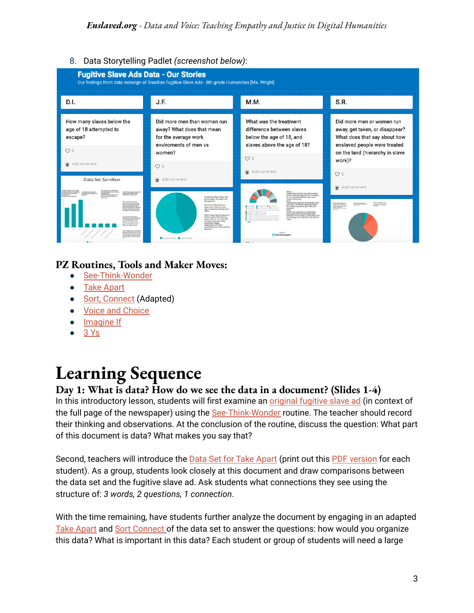8. Data Storytelling Padlet *(screenshot below)*:



#### **PZ Routines, Tools and Maker Moves:**

- [See-Think-Wonder](https://pz.harvard.edu/sites/default/files/See%20Think%20Wonder.pdf)
- Take [Apart](http://www.agencybydesign.org/sites/default/files/AbD%20Take%20Apart%20.pdf)
- Sort, [Connect](http://www.pz.harvard.edu/resources/generate-sort-connect-elaborate) (Adapted)
- **Voice and [Choice](http://www.agencybydesign.org/sites/default/files/AbD%20Voice%20and%20Choice.pdf)**
- [Imagine](https://pz.harvard.edu/sites/default/files/Imagine%20if_0.pdf) If
- 3 [Ys](http://www.pz.harvard.edu/sites/default/files/The%203%20Ys.pdf)

### **Learning Sequence**

#### **Day 1: What is data? How do we see the data in a document? (Slides 1-4)**

In this introductory lesson, students will first examine an *[original](https://drive.google.com/file/d/1pyBC7clXm9pt7HotrIuGixfa7LMXtF8O/view?usp=sharing) fugitive slave ad (in context of* the full page of the newspaper) using the [See-Think-Wonder](https://pz.harvard.edu/sites/default/files/See%20Think%20Wonder.pdf) routine. The teacher should record their thinking and observations. At the conclusion of the routine, discuss the question: What part of this document is data? What makes you say that?

Second, teachers will introduce the **Data Set for Take [Apart](https://docs.google.com/spreadsheets/d/1elgqYZIr14nSZU-WQ8Uqlw6CGtPz8ZiCh76Vd4UEzWg/edit?usp=sharing)** (print out this **PDF** [version](https://drive.google.com/file/d/1OtEM4C2ok85UrFAj88xQVkuMKawApay1/view?usp=sharing) for each student). As a group, students look closely at this document and draw comparisons between the data set and the fugitive slave ad. Ask students what connections they see using the structure of: *3 words, 2 questions, 1 connection*.

With the time remaining, have students further analyze the document by engaging in an adapted Take [Apart](http://www.agencybydesign.org/sites/default/files/AbD%20Take%20Apart%20.pdf) and Sort [Connect](http://www.pz.harvard.edu/resources/generate-sort-connect-elaborate) of the data set to answer the questions: how would you organize this data? What is important in this data? Each student or group of students will need a large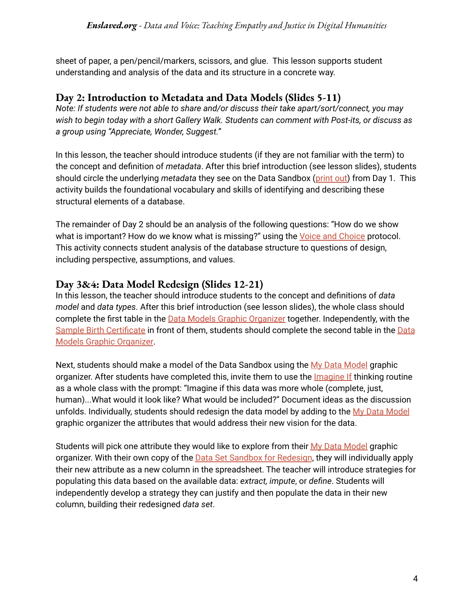sheet of paper, a pen/pencil/markers, scissors, and glue. This lesson supports student understanding and analysis of the data and its structure in a concrete way.

#### **Day 2: Introduction to Metadata and Data Models (Slides 5-11)**

*Note: If students were not able to share and/or discuss their take apart/sort/connect, you may wish to begin today with a short Gallery Walk. Students can comment with Post-its, or discuss as a group using "Appreciate, Wonder, Suggest."*

In this lesson, the teacher should introduce students (if they are not familiar with the term) to the concept and definition of *metadata*. After this brief introduction (see lesson slides), students should circle the underlying *metadata* they see on the Data Sandbox ([print](https://drive.google.com/file/d/1OtEM4C2ok85UrFAj88xQVkuMKawApay1/view?usp=sharing) out) from Day 1. This activity builds the foundational vocabulary and skills of identifying and describing these structural elements of a database.

The remainder of Day 2 should be an analysis of the following questions: "How do we show what is important? How do we know what is missing?" using the Voice and [Choice](http://www.agencybydesign.org/sites/default/files/AbD%20Voice%20and%20Choice.pdf) protocol. This activity connects student analysis of the database structure to questions of design, including perspective, assumptions, and values.

#### **Day 3&4: Data Model Redesign (Slides 12-21)**

In this lesson, the teacher should introduce students to the concept and definitions of *data model* and *data types*. After this brief introduction (see lesson slides), the whole class should complete the first table in the **Data Models Graphic [Organizer](https://docs.google.com/document/d/13Kufg6wn0SA_slJroBv3ul2BF4Kcg9sYwha4U7WhHcI/edit)** together. Independently, with the Sample Birth [Certificate](https://www.usbirthcertificates.com/user/blog-assets/img/certificate-birth-abroad-crba.jpg) in front of them, students should complete the second table in the [Data](https://docs.google.com/document/d/13Kufg6wn0SA_slJroBv3ul2BF4Kcg9sYwha4U7WhHcI/edit) Models Graphic [Organizer](https://docs.google.com/document/d/13Kufg6wn0SA_slJroBv3ul2BF4Kcg9sYwha4U7WhHcI/edit).

Next, students should make a model of the Data Sandbox using the My Data [Model](https://docs.google.com/document/d/1g2IArFm7sHYlH4wJ9Qw9TS69JgjDBi6TmmqPAbylsKg/edit) graphic organizer. After students have completed this, invite them to use the [Imagine](https://pz.harvard.edu/sites/default/files/Imagine%20if_0.pdf) If thinking routine as a whole class with the prompt: "Imagine if this data was more whole (complete, just, human)...What would it look like? What would be included?" Document ideas as the discussion unfolds. Individually, students should redesign the data model by adding to the My Data [Model](https://docs.google.com/document/d/1g2IArFm7sHYlH4wJ9Qw9TS69JgjDBi6TmmqPAbylsKg/edit) graphic organizer the attributes that would address their new vision for the data.

Students will pick one attribute they would like to explore from their My Data [Model](https://docs.google.com/document/d/1g2IArFm7sHYlH4wJ9Qw9TS69JgjDBi6TmmqPAbylsKg/edit) graphic organizer. With their own copy of the **Data Set Sandbox for [Redesign](https://docs.google.com/spreadsheets/d/1llpkndgZLVSc9q8FJhCJiKcVd7cJ_aUNsPs1XIatofU/edit?usp=sharing)**, they will individually apply their new attribute as a new column in the spreadsheet. The teacher will introduce strategies for populating this data based on the available data: *extract, impute*, or *define*. Students will independently develop a strategy they can justify and then populate the data in their new column, building their redesigned *data set*.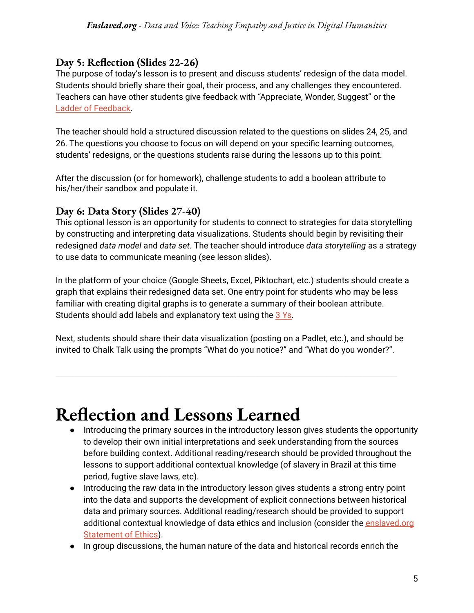#### **Day 5: Reflection (Slides 22-26)**

The purpose of today's lesson is to present and discuss students' redesign of the data model. Students should briefly share their goal, their process, and any challenges they encountered. Teachers can have other students give feedback with "Appreciate, Wonder, Suggest" or the Ladder of [Feedback.](https://pz.harvard.edu/resources/ladder-of-feedback)

The teacher should hold a structured discussion related to the questions on slides 24, 25, and 26. The questions you choose to focus on will depend on your specific learning outcomes, students' redesigns, or the questions students raise during the lessons up to this point.

After the discussion (or for homework), challenge students to add a boolean attribute to his/her/their sandbox and populate it.

#### **Day 6: Data Story (Slides 27-40)**

This optional lesson is an opportunity for students to connect to strategies for data storytelling by constructing and interpreting data visualizations. Students should begin by revisiting their redesigned *data model* and *data set.* The teacher should introduce *data storytelling* as a strategy to use data to communicate meaning (see lesson slides).

In the platform of your choice (Google Sheets, Excel, Piktochart, etc.) students should create a graph that explains their redesigned data set. One entry point for students who may be less familiar with creating digital graphs is to generate a summary of their boolean attribute. Students should add labels and explanatory text using the 3 [Ys.](http://www.pz.harvard.edu/sites/default/files/The%203%20Ys.pdf)

Next, students should share their data visualization (posting on a Padlet, etc.), and should be invited to Chalk Talk using the prompts "What do you notice?" and "What do you wonder?".

### **Reflection and Lessons Learned**

- Introducing the primary sources in the introductory lesson gives students the opportunity to develop their own initial interpretations and seek understanding from the sources before building context. Additional reading/research should be provided throughout the lessons to support additional contextual knowledge (of slavery in Brazil at this time period, fugtive slave laws, etc).
- Introducing the raw data in the introductory lesson gives students a strong entry point into the data and supports the development of explicit connections between historical data and primary sources. Additional reading/research should be provided to support additional contextual knowledge of data ethics and inclusion (consider the [enslaved.org](https://enslaved.org/statementofEthics) [Statement](https://enslaved.org/statementofEthics) of Ethics).
- In group discussions, the human nature of the data and historical records enrich the